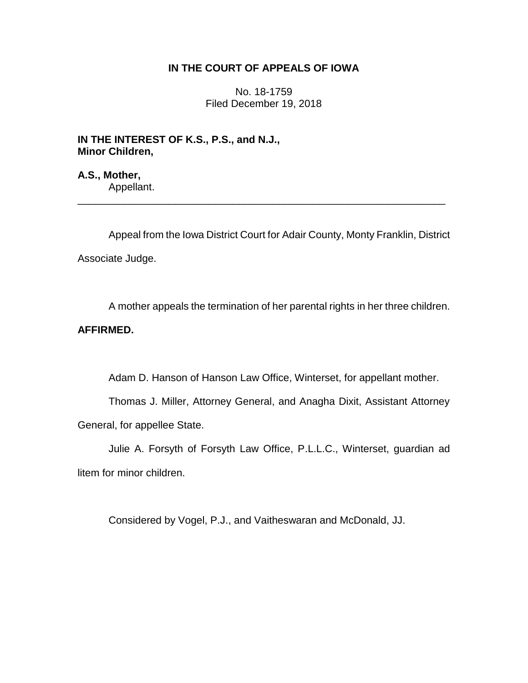## **IN THE COURT OF APPEALS OF IOWA**

No. 18-1759 Filed December 19, 2018

**IN THE INTEREST OF K.S., P.S., and N.J., Minor Children,**

**A.S., Mother,** Appellant.

Appeal from the Iowa District Court for Adair County, Monty Franklin, District Associate Judge.

\_\_\_\_\_\_\_\_\_\_\_\_\_\_\_\_\_\_\_\_\_\_\_\_\_\_\_\_\_\_\_\_\_\_\_\_\_\_\_\_\_\_\_\_\_\_\_\_\_\_\_\_\_\_\_\_\_\_\_\_\_\_\_\_

A mother appeals the termination of her parental rights in her three children.

## **AFFIRMED.**

Adam D. Hanson of Hanson Law Office, Winterset, for appellant mother.

Thomas J. Miller, Attorney General, and Anagha Dixit, Assistant Attorney General, for appellee State.

Julie A. Forsyth of Forsyth Law Office, P.L.L.C., Winterset, guardian ad litem for minor children.

Considered by Vogel, P.J., and Vaitheswaran and McDonald, JJ.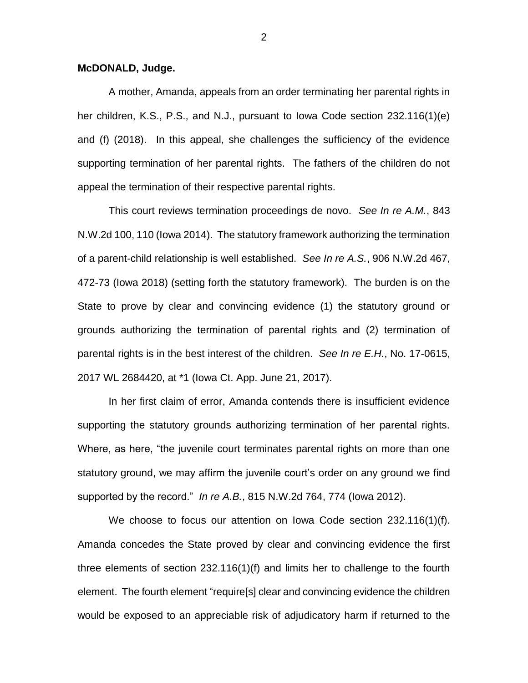## **McDONALD, Judge.**

A mother, Amanda, appeals from an order terminating her parental rights in her children, K.S., P.S., and N.J., pursuant to Iowa Code section 232.116(1)(e) and (f) (2018). In this appeal, she challenges the sufficiency of the evidence supporting termination of her parental rights. The fathers of the children do not appeal the termination of their respective parental rights.

This court reviews termination proceedings de novo. *See In re A.M.*, 843 N.W.2d 100, 110 (Iowa 2014). The statutory framework authorizing the termination of a parent-child relationship is well established. *See In re A.S.*, 906 N.W.2d 467, 472-73 (Iowa 2018) (setting forth the statutory framework). The burden is on the State to prove by clear and convincing evidence (1) the statutory ground or grounds authorizing the termination of parental rights and (2) termination of parental rights is in the best interest of the children. *See In re E.H.*, No. 17-0615, 2017 WL 2684420, at \*1 (Iowa Ct. App. June 21, 2017).

In her first claim of error, Amanda contends there is insufficient evidence supporting the statutory grounds authorizing termination of her parental rights. Where, as here, "the juvenile court terminates parental rights on more than one statutory ground, we may affirm the juvenile court's order on any ground we find supported by the record." *In re A.B.*, 815 N.W.2d 764, 774 (Iowa 2012).

We choose to focus our attention on Iowa Code section 232.116(1)(f). Amanda concedes the State proved by clear and convincing evidence the first three elements of section 232.116(1)(f) and limits her to challenge to the fourth element. The fourth element "require[s] clear and convincing evidence the children would be exposed to an appreciable risk of adjudicatory harm if returned to the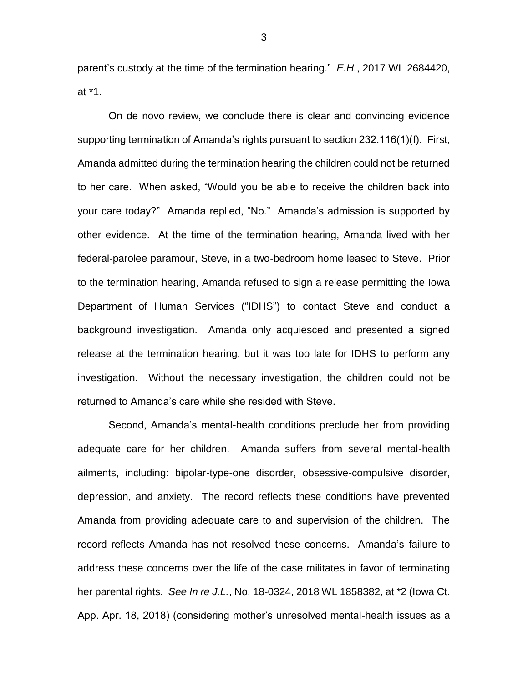parent's custody at the time of the termination hearing." *E.H.*, 2017 WL 2684420, at \*1.

On de novo review, we conclude there is clear and convincing evidence supporting termination of Amanda's rights pursuant to section 232.116(1)(f). First, Amanda admitted during the termination hearing the children could not be returned to her care. When asked, "Would you be able to receive the children back into your care today?" Amanda replied, "No." Amanda's admission is supported by other evidence. At the time of the termination hearing, Amanda lived with her federal-parolee paramour, Steve, in a two-bedroom home leased to Steve. Prior to the termination hearing, Amanda refused to sign a release permitting the Iowa Department of Human Services ("IDHS") to contact Steve and conduct a background investigation. Amanda only acquiesced and presented a signed release at the termination hearing, but it was too late for IDHS to perform any investigation. Without the necessary investigation, the children could not be returned to Amanda's care while she resided with Steve.

Second, Amanda's mental-health conditions preclude her from providing adequate care for her children. Amanda suffers from several mental-health ailments, including: bipolar-type-one disorder, obsessive-compulsive disorder, depression, and anxiety. The record reflects these conditions have prevented Amanda from providing adequate care to and supervision of the children. The record reflects Amanda has not resolved these concerns. Amanda's failure to address these concerns over the life of the case militates in favor of terminating her parental rights. *See In re J.L.*, No. 18-0324, 2018 WL 1858382, at \*2 (Iowa Ct. App. Apr. 18, 2018) (considering mother's unresolved mental-health issues as a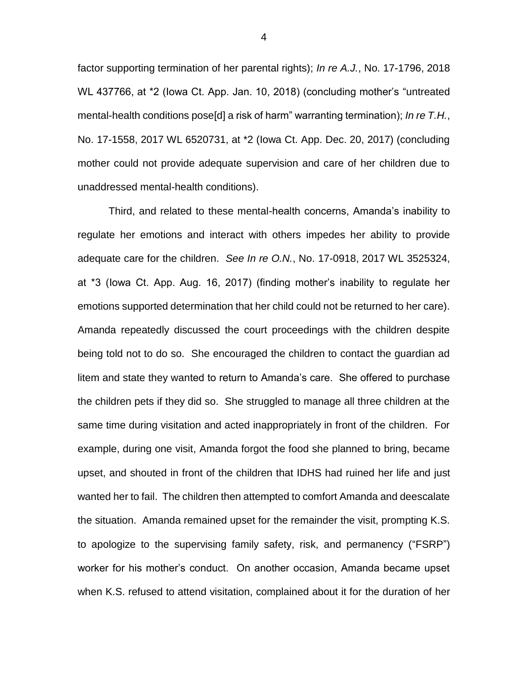factor supporting termination of her parental rights); *In re A.J.*, No. 17-1796, 2018 WL 437766, at \*2 (Iowa Ct. App. Jan. 10, 2018) (concluding mother's "untreated mental-health conditions pose[d] a risk of harm" warranting termination); *In re T.H.*, No. 17-1558, 2017 WL 6520731, at \*2 (Iowa Ct. App. Dec. 20, 2017) (concluding mother could not provide adequate supervision and care of her children due to unaddressed mental-health conditions).

Third, and related to these mental-health concerns, Amanda's inability to regulate her emotions and interact with others impedes her ability to provide adequate care for the children. *See In re O.N.*, No. 17-0918, 2017 WL 3525324, at \*3 (Iowa Ct. App. Aug. 16, 2017) (finding mother's inability to regulate her emotions supported determination that her child could not be returned to her care). Amanda repeatedly discussed the court proceedings with the children despite being told not to do so. She encouraged the children to contact the guardian ad litem and state they wanted to return to Amanda's care. She offered to purchase the children pets if they did so. She struggled to manage all three children at the same time during visitation and acted inappropriately in front of the children. For example, during one visit, Amanda forgot the food she planned to bring, became upset, and shouted in front of the children that IDHS had ruined her life and just wanted her to fail. The children then attempted to comfort Amanda and deescalate the situation. Amanda remained upset for the remainder the visit, prompting K.S. to apologize to the supervising family safety, risk, and permanency ("FSRP") worker for his mother's conduct. On another occasion, Amanda became upset when K.S. refused to attend visitation, complained about it for the duration of her

4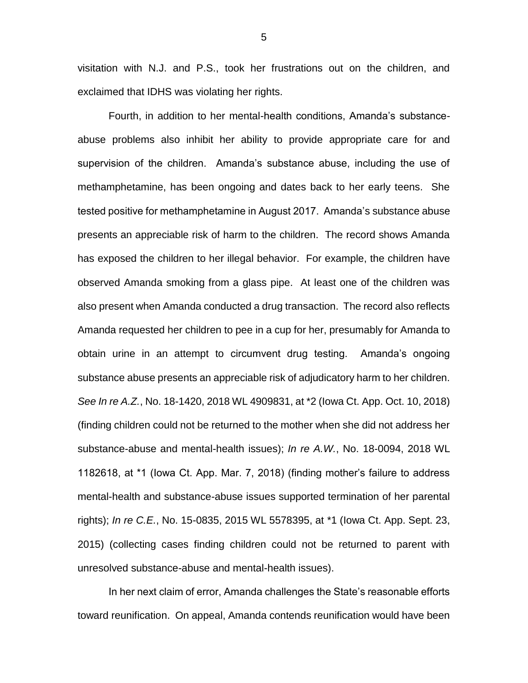visitation with N.J. and P.S., took her frustrations out on the children, and exclaimed that IDHS was violating her rights.

Fourth, in addition to her mental-health conditions, Amanda's substanceabuse problems also inhibit her ability to provide appropriate care for and supervision of the children. Amanda's substance abuse, including the use of methamphetamine, has been ongoing and dates back to her early teens. She tested positive for methamphetamine in August 2017. Amanda's substance abuse presents an appreciable risk of harm to the children. The record shows Amanda has exposed the children to her illegal behavior. For example, the children have observed Amanda smoking from a glass pipe. At least one of the children was also present when Amanda conducted a drug transaction. The record also reflects Amanda requested her children to pee in a cup for her, presumably for Amanda to obtain urine in an attempt to circumvent drug testing. Amanda's ongoing substance abuse presents an appreciable risk of adjudicatory harm to her children. *See In re A.Z.*, No. 18-1420, 2018 WL 4909831, at \*2 (Iowa Ct. App. Oct. 10, 2018) (finding children could not be returned to the mother when she did not address her substance-abuse and mental-health issues); *In re A.W.*, No. 18-0094, 2018 WL 1182618, at \*1 (Iowa Ct. App. Mar. 7, 2018) (finding mother's failure to address mental-health and substance-abuse issues supported termination of her parental rights); *In re C.E.*, No. 15-0835, 2015 WL 5578395, at \*1 (Iowa Ct. App. Sept. 23, 2015) (collecting cases finding children could not be returned to parent with unresolved substance-abuse and mental-health issues).

In her next claim of error, Amanda challenges the State's reasonable efforts toward reunification. On appeal, Amanda contends reunification would have been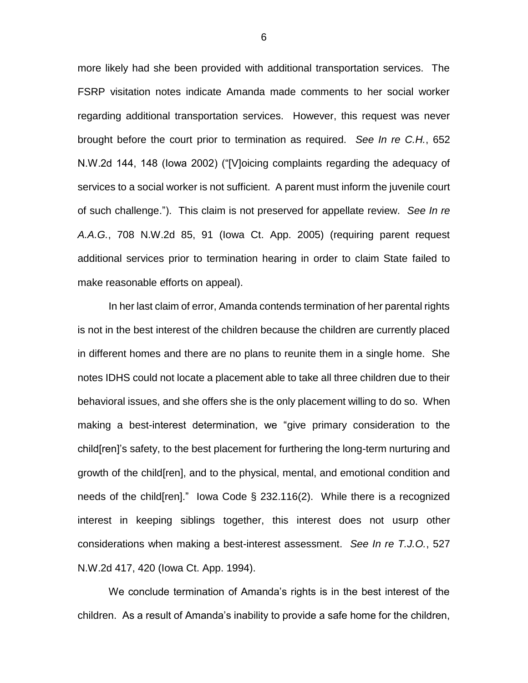more likely had she been provided with additional transportation services. The FSRP visitation notes indicate Amanda made comments to her social worker regarding additional transportation services. However, this request was never brought before the court prior to termination as required. *See In re C.H.*, 652 N.W.2d 144, 148 (Iowa 2002) ("[V]oicing complaints regarding the adequacy of services to a social worker is not sufficient. A parent must inform the juvenile court of such challenge."). This claim is not preserved for appellate review. *See In re A.A.G.*, 708 N.W.2d 85, 91 (Iowa Ct. App. 2005) (requiring parent request additional services prior to termination hearing in order to claim State failed to make reasonable efforts on appeal).

In her last claim of error, Amanda contends termination of her parental rights is not in the best interest of the children because the children are currently placed in different homes and there are no plans to reunite them in a single home. She notes IDHS could not locate a placement able to take all three children due to their behavioral issues, and she offers she is the only placement willing to do so. When making a best-interest determination, we "give primary consideration to the child[ren]'s safety, to the best placement for furthering the long-term nurturing and growth of the child[ren], and to the physical, mental, and emotional condition and needs of the child[ren]." Iowa Code § 232.116(2). While there is a recognized interest in keeping siblings together, this interest does not usurp other considerations when making a best-interest assessment. *See In re T.J.O.*, 527 N.W.2d 417, 420 (Iowa Ct. App. 1994).

We conclude termination of Amanda's rights is in the best interest of the children. As a result of Amanda's inability to provide a safe home for the children,